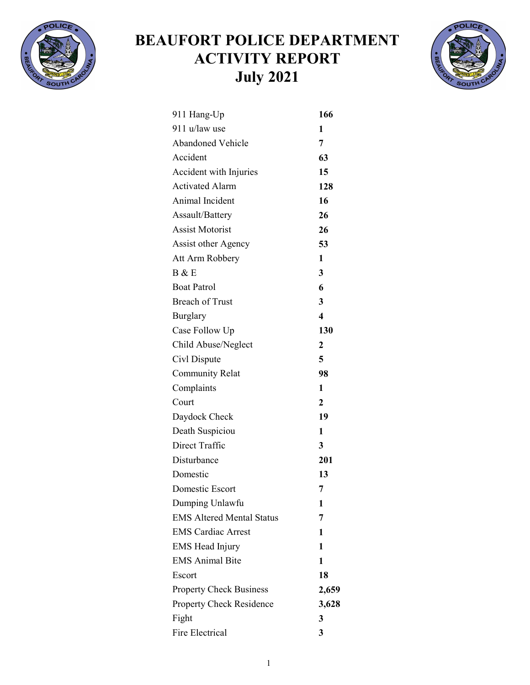

## BEAUFORT POLICE DEPARTMENT ACTIVITY REPORT July 2021



| 911 Hang-Up                      | 166                     |
|----------------------------------|-------------------------|
| 911 u/law use                    | 1                       |
| <b>Abandoned Vehicle</b>         | 7                       |
| Accident                         | 63                      |
| Accident with Injuries           | 15                      |
| <b>Activated Alarm</b>           | 128                     |
| Animal Incident                  | 16                      |
| Assault/Battery                  | 26                      |
| <b>Assist Motorist</b>           | 26                      |
| <b>Assist other Agency</b>       | 53                      |
| Att Arm Robbery                  | $\mathbf{1}$            |
| B & E                            | 3                       |
| <b>Boat Patrol</b>               | 6                       |
| <b>Breach of Trust</b>           | 3                       |
| Burglary                         | $\overline{\mathbf{4}}$ |
| Case Follow Up                   | 130                     |
| Child Abuse/Neglect              | $\boldsymbol{2}$        |
| Civl Dispute                     | 5                       |
| <b>Community Relat</b>           | 98                      |
| Complaints                       | $\mathbf{1}$            |
| Court                            | $\overline{2}$          |
| Daydock Check                    | 19                      |
| Death Suspiciou                  | 1                       |
| Direct Traffic                   | 3                       |
| Disturbance                      | 201                     |
| Domestic                         | 13                      |
| Domestic Escort                  | 7                       |
| Dumping Unlawfu                  | 1                       |
| <b>EMS Altered Mental Status</b> | 7                       |
| <b>EMS Cardiac Arrest</b>        | 1                       |
| <b>EMS Head Injury</b>           | 1                       |
| <b>EMS</b> Animal Bite           | 1                       |
| Escort                           | 18                      |
| <b>Property Check Business</b>   | 2,659                   |
| <b>Property Check Residence</b>  | 3,628                   |
| Fight                            | 3                       |
| Fire Electrical                  | 3                       |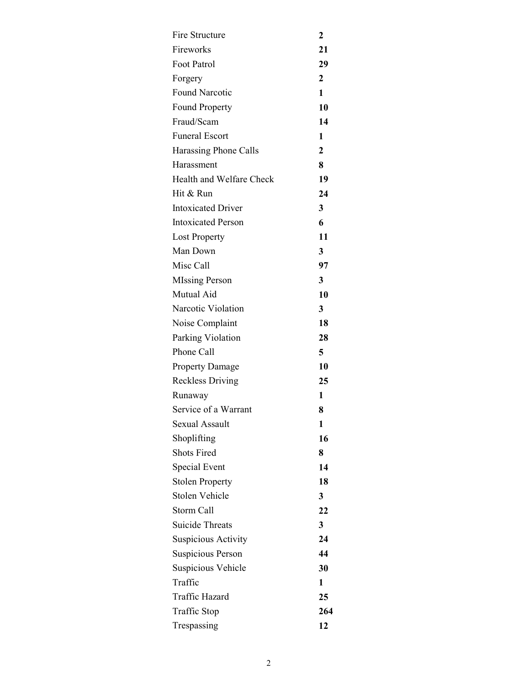| Fire Structure            | 2              |
|---------------------------|----------------|
| Fireworks                 | 21             |
| Foot Patrol               | 29             |
| Forgery                   | $\overline{2}$ |
| <b>Found Narcotic</b>     | $\mathbf{1}$   |
| <b>Found Property</b>     | 10             |
| Fraud/Scam                | 14             |
| <b>Funeral Escort</b>     | 1              |
| Harassing Phone Calls     | $\mathbf{2}$   |
| Harassment                | 8              |
| Health and Welfare Check  | 19             |
| Hit & Run                 | 24             |
| <b>Intoxicated Driver</b> | 3              |
| <b>Intoxicated Person</b> | 6              |
| <b>Lost Property</b>      | 11             |
| Man Down                  | 3              |
| Misc Call                 | 97             |
| <b>MIssing Person</b>     | 3              |
| Mutual Aid                | 10             |
| Narcotic Violation        | 3              |
| Noise Complaint           | 18             |
| Parking Violation         | 28             |
| Phone Call                | 5              |
| <b>Property Damage</b>    | 10             |
| <b>Reckless Driving</b>   | 25             |
| Runaway                   | 1              |
| Service of a Warrant      | 8              |
| Sexual Assault            | 1              |
| Shoplifting               | 16             |
| <b>Shots Fired</b>        | 8              |
| Special Event             | 14             |
| <b>Stolen Property</b>    | 18             |
| <b>Stolen Vehicle</b>     | 3              |
| Storm Call                | 22             |
| <b>Suicide Threats</b>    | 3              |
| Suspicious Activity       | 24             |
| Suspicious Person         | 44             |
| Suspicious Vehicle        | 30             |
| Traffic                   | 1              |
| <b>Traffic Hazard</b>     | 25             |
| Traffic Stop              | 264            |
| Trespassing               | 12             |